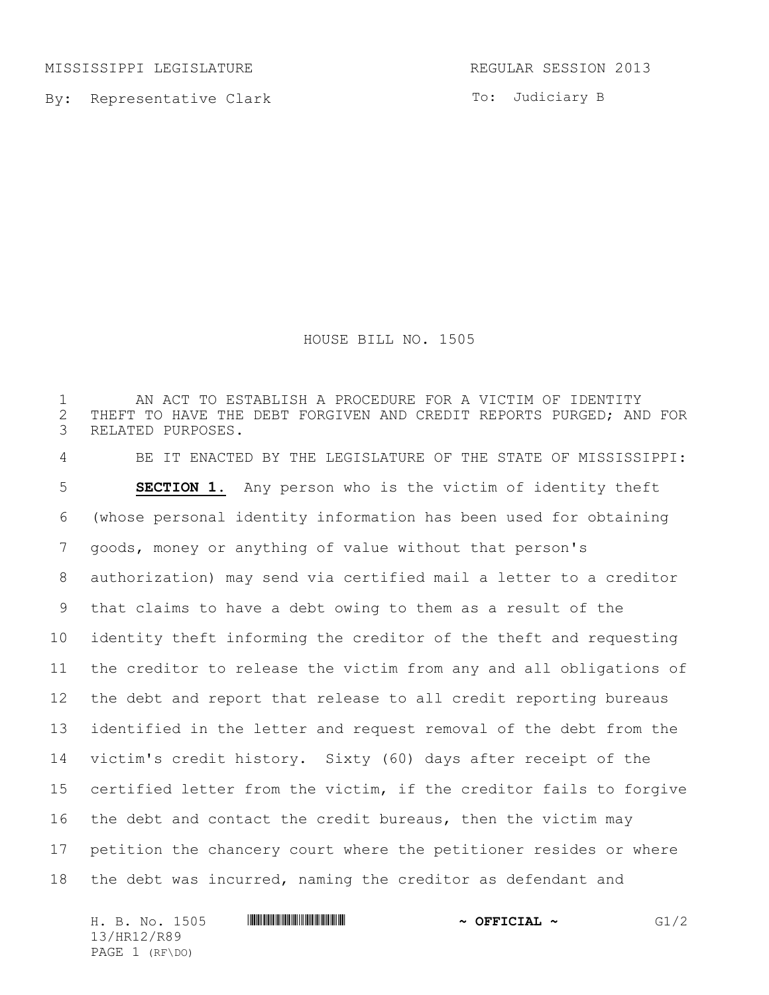MISSISSIPPI LEGISLATURE **REGULAR SESSION 2013** 

By: Representative Clark

To: Judiciary B

HOUSE BILL NO. 1505

1 THE AN ACT TO ESTABLISH A PROCEDURE FOR A VICTIM OF IDENTITY<br>2 THEFT TO HAVE THE DEBT FORGIVEN AND CREDIT REPORTS PURGED; AN 2 THEFT TO HAVE THE DEBT FORGIVEN AND CREDIT REPORTS PURGED; AND FOR<br>3 RELATED PURPOSES. RELATED PURPOSES. BE IT ENACTED BY THE LEGISLATURE OF THE STATE OF MISSISSIPPI: **SECTION 1.** Any person who is the victim of identity theft (whose personal identity information has been used for obtaining goods, money or anything of value without that person's authorization) may send via certified mail a letter to a creditor that claims to have a debt owing to them as a result of the identity theft informing the creditor of the theft and requesting the creditor to release the victim from any and all obligations of the debt and report that release to all credit reporting bureaus identified in the letter and request removal of the debt from the victim's credit history. Sixty (60) days after receipt of the certified letter from the victim, if the creditor fails to forgive 16 the debt and contact the credit bureaus, then the victim may petition the chancery court where the petitioner resides or where the debt was incurred, naming the creditor as defendant and

H. B. No. 1505 **ANNIFORM THE RUBBER 19 CONSTITUTE A OFFICIAL**  $\sim$  **G1/2** 13/HR12/R89 PAGE 1 (RF\DO)